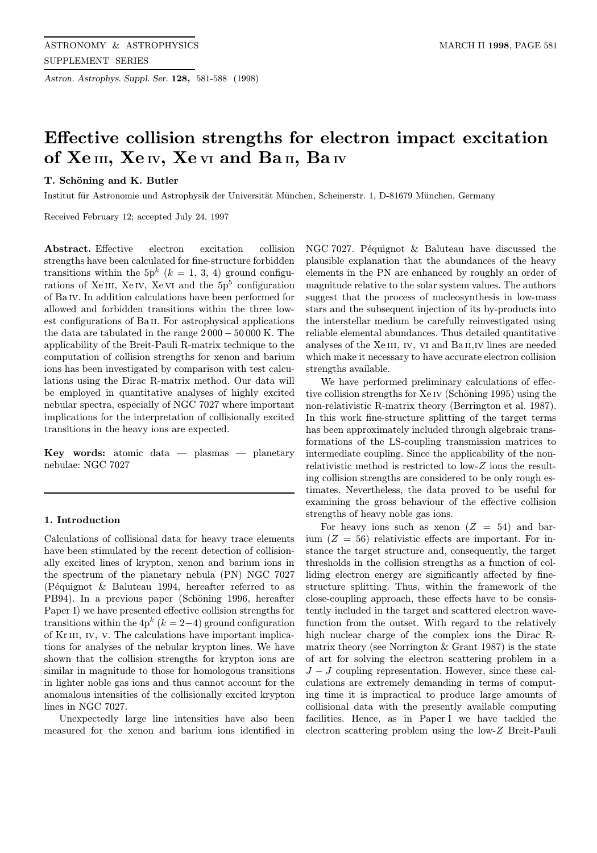Astron. Astrophys. Suppl. Ser. 128, 581-588 (1998)

# Effective collision strengths for electron impact excitation of Xe III, Xe IV, Xe VI and Ba II, Ba IV

# T. Schöning and K. Butler

Institut für Astronomie und Astrophysik der Universität München, Scheinerstr. 1, D-81679 München, Germany

Received February 12; accepted July 24, 1997

Abstract. Effective electron excitation collision strengths have been calculated for fine-structure forbidden transitions within the  $5p^k$  ( $k = 1, 3, 4$ ) ground configurations of XeIII, XeIV, XeVI and the  $5p<sup>5</sup>$  configuration of Ba iv. In addition calculations have been performed for allowed and forbidden transitions within the three lowest configurations of Ba<sub>II</sub>. For astrophysical applications the data are tabulated in the range 2 000 − 50 000 K. The applicability of the Breit-Pauli R-matrix technique to the computation of collision strengths for xenon and barium ions has been investigated by comparison with test calculations using the Dirac R-matrix method. Our data will be employed in quantitative analyses of highly excited nebular spectra, especially of NGC 7027 where important implications for the interpretation of collisionally excited transitions in the heavy ions are expected.

**Key words:** atomic data  $-$  plasmas  $-$  planetary nebulae: NGC 7027

## 1. Introduction

Calculations of collisional data for heavy trace elements have been stimulated by the recent detection of collisionally excited lines of krypton, xenon and barium ions in the spectrum of the planetary nebula (PN) NGC 7027 (Péquignot  $\&$  Baluteau 1994, hereafter referred to as PB94). In a previous paper (Schöning 1996, hereafter Paper I) we have presented effective collision strengths for transitions within the  $4p^{k}$  ( $k = 2-4$ ) ground configuration of Kriii, iv, v. The calculations have important implications for analyses of the nebular krypton lines. We have shown that the collision strengths for krypton ions are similar in magnitude to those for homologous transitions in lighter noble gas ions and thus cannot account for the anomalous intensities of the collisionally excited krypton lines in NGC 7027.

Unexpectedly large line intensities have also been measured for the xenon and barium ions identified in NGC 7027. Péquignot  $&$  Baluteau have discussed the plausible explanation that the abundances of the heavy elements in the PN are enhanced by roughly an order of magnitude relative to the solar system values. The authors suggest that the process of nucleosynthesis in low-mass stars and the subsequent injection of its by-products into the interstellar medium be carefully reinvestigated using reliable elemental abundances. Thus detailed quantitative analyses of the Xe III, IV, VI and Ba II, IV lines are needed which make it necessary to have accurate electron collision strengths available.

We have performed preliminary calculations of effective collision strengths for  $Xe$  iv (Schöning 1995) using the non-relativistic R-matrix theory (Berrington et al. 1987). In this work fine-structure splitting of the target terms has been approximately included through algebraic transformations of the LS-coupling transmission matrices to intermediate coupling. Since the applicability of the nonrelativistic method is restricted to low-Z ions the resulting collision strengths are considered to be only rough estimates. Nevertheless, the data proved to be useful for examining the gross behaviour of the effective collision strengths of heavy noble gas ions.

For heavy ions such as xenon  $(Z = 54)$  and barium  $(Z = 56)$  relativistic effects are important. For instance the target structure and, consequently, the target thresholds in the collision strengths as a function of colliding electron energy are significantly affected by finestructure splitting. Thus, within the framework of the close-coupling approach, these effects have to be consistently included in the target and scattered electron wavefunction from the outset. With regard to the relatively high nuclear charge of the complex ions the Dirac Rmatrix theory (see Norrington  $&$  Grant 1987) is the state of art for solving the electron scattering problem in a  $J - J$  coupling representation. However, since these calculations are extremely demanding in terms of computing time it is impractical to produce large amounts of collisional data with the presently available computing facilities. Hence, as in Paper I we have tackled the electron scattering problem using the low-Z Breit-Pauli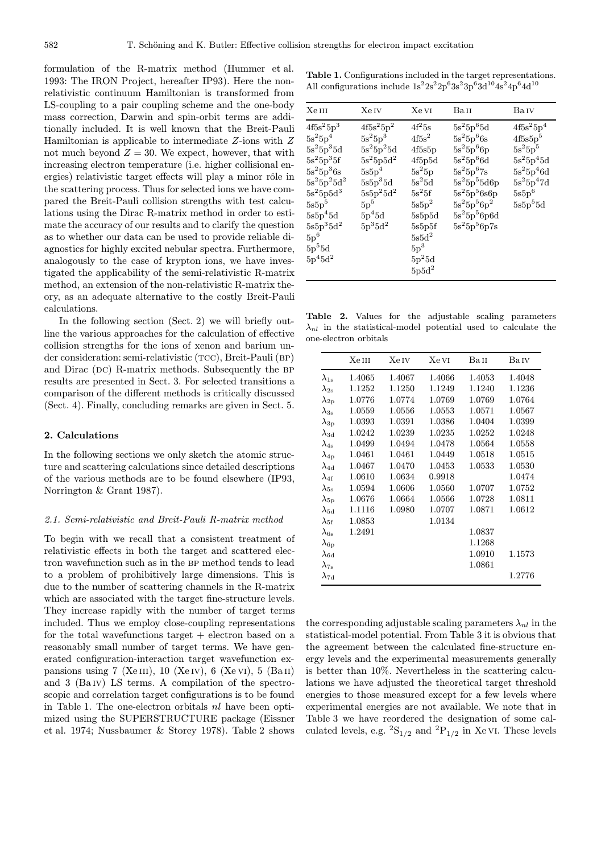formulation of the R-matrix method (Hummer et al. 1993: The IRON Project, hereafter IP93). Here the nonrelativistic continuum Hamiltonian is transformed from LS-coupling to a pair coupling scheme and the one-body mass correction, Darwin and spin-orbit terms are additionally included. It is well known that the Breit-Pauli Hamiltonian is applicable to intermediate Z-ions with Z not much beyond  $Z = 30$ . We expect, however, that with increasing electron temperature (i.e. higher collisional energies) relativistic target effects will play a minor rôle in the scattering process. Thus for selected ions we have compared the Breit-Pauli collision strengths with test calculations using the Dirac R-matrix method in order to estimate the accuracy of our results and to clarify the question as to whether our data can be used to provide reliable diagnostics for highly excited nebular spectra. Furthermore, analogously to the case of krypton ions, we have investigated the applicability of the semi-relativistic R-matrix method, an extension of the non-relativistic R-matrix theory, as an adequate alternative to the costly Breit-Pauli calculations.

In the following section (Sect. 2) we will briefly outline the various approaches for the calculation of effective collision strengths for the ions of xenon and barium under consideration: semi-relativistic (TCC), Breit-Pauli (BP) and Dirac  $(DC)$  R-matrix methods. Subsequently the BP results are presented in Sect. 3. For selected transitions a comparison of the different methods is critically discussed (Sect. 4). Finally, concluding remarks are given in Sect. 5.

# 2. Calculations

In the following sections we only sketch the atomic structure and scattering calculations since detailed descriptions of the various methods are to be found elsewhere (IP93, Norrington & Grant 1987).

#### 2.1. Semi-relativistic and Breit-Pauli R-matrix method

To begin with we recall that a consistent treatment of relativistic effects in both the target and scattered electron wavefunction such as in the BP method tends to lead to a problem of prohibitively large dimensions. This is due to the number of scattering channels in the R-matrix which are associated with the target fine-structure levels. They increase rapidly with the number of target terms included. Thus we employ close-coupling representations for the total wavefunctions target  $+$  electron based on a reasonably small number of target terms. We have generated configuration-interaction target wavefunction expansions using 7 (Xe III), 10 (Xe IV), 6 (Xe VI), 5 (Ba II) and 3 (Ba iv) LS terms. A compilation of the spectroscopic and correlation target configurations is to be found in Table 1. The one-electron orbitals  $nl$  have been optimized using the SUPERSTRUCTURE package (Eissner et al. 1974; Nussbaumer & Storey 1978). Table 2 shows

Table 1. Configurations included in the target representations. All configurations include  $1s^22s^22p^63s^23p^63d^{10}4s^24p^64d^{10}$ 

| <b>Xe</b> IV<br>Xe vi<br>Ba II<br>Baiv<br>$4f5s^25p^2$<br>$4f^25s$<br>$4f5s^25p^4$<br>$5s^25p^65d$<br>$5s^25p^3$<br>$5s^25p^66s$<br>$4f5s^2$<br>4f5s5p <sup>5</sup><br>$5s^25p^66p$<br>$5s^25p^5$<br>$5s^25p^25d$<br>4f5s5p<br>$5s^25p^66d$<br>$5\mathrm{s}^25\mathrm{p}^45\mathrm{d}$<br>$5s^25p5d^2$<br>4f5p5d<br>$5s^25p^46d$<br>$5s^25p$<br>$5s^25p^67s$<br>$5s5p^4$<br>$5s^25d$<br>$5s^25p^47d$<br>$5s^25p^55d6p$<br>$5s5p^35d$<br>$5s5p^25d^2$<br>$5s^25f$<br>$5s^25p^56s6p$<br>$5s5p^6$<br>5p <sup>5</sup><br>$5s^25p^56p^2$<br>$5s5p^55d$<br>$5s5p^2$<br>$5s^25p^56p6d$<br>$5p^45d$<br>5s5p5d<br>$5p^35d^2$<br>$5s^25p^56p7s$<br>5s5p5f<br>$5s5d^2$<br>$5p^3$<br>$5p^25d$<br>$5p5d^2$ |                                                                                                                                                                                                                                |  |  |
|-----------------------------------------------------------------------------------------------------------------------------------------------------------------------------------------------------------------------------------------------------------------------------------------------------------------------------------------------------------------------------------------------------------------------------------------------------------------------------------------------------------------------------------------------------------------------------------------------------------------------------------------------------------------------------------------------|--------------------------------------------------------------------------------------------------------------------------------------------------------------------------------------------------------------------------------|--|--|
|                                                                                                                                                                                                                                                                                                                                                                                                                                                                                                                                                                                                                                                                                               | Xe III                                                                                                                                                                                                                         |  |  |
|                                                                                                                                                                                                                                                                                                                                                                                                                                                                                                                                                                                                                                                                                               | $4f5s^25p^3$<br>$5s^25p^4$<br>$5s^25p^35d$<br>$5s^25p^35f$<br>$5s^25p^36s$<br>$5s^25p^25d^2$<br>$5s^25p5d^3$<br>$5s5p^5$<br>$5s5p^45d$<br>$5\mathrm{s}5\mathrm{p}^35\mathrm{d}^2$<br>$5\mathrm{p}^6$<br>$5p^55d$<br>$5p^45d^2$ |  |  |

Table 2. Values for the adjustable scaling parameters  $\lambda_{nl}$  in the statistical-model potential used to calculate the one-electron orbitals

|                          | XeIII  | Xe Iv  | Xe vi  | Ba II  | Baiv       |
|--------------------------|--------|--------|--------|--------|------------|
| $\lambda_{1\text{s}}$    | 1.4065 | 1.4067 | 1.4066 | 1.4053 | 1.4048     |
| $\lambda_{\rm 2s}$       | 1.1252 | 1.1250 | 1.1249 | 1.1240 | 1.1236     |
| $\lambda_{\rm 2p}$       | 1.0776 | 1.0774 | 1.0769 | 1.0769 | 1.0764     |
| $\lambda_{3\mathrm{s}}$  | 1.0559 | 1.0556 | 1.0553 | 1.0571 | 1.0567     |
| $\lambda_{3\text{p}}$    | 1.0393 | 1.0391 | 1.0386 | 1.0404 | 1.0399     |
| $\lambda_{\rm 3d}$       | 1.0242 | 1.0239 | 1.0235 | 1.0252 | 1.0248     |
| $\lambda_{4s}$           | 1.0499 | 1.0494 | 1.0478 | 1.0564 | 1.0558     |
| $\lambda_{\rm 4p}$       | 1.0461 | 1.0461 | 1.0449 | 1.0518 | 1.0515     |
| $\lambda_{\rm 4d}$       | 1.0467 | 1.0470 | 1.0453 | 1.0533 | 1.0530     |
| $\lambda_{\rm 4f}$       | 1.0610 | 1.0634 | 0.9918 |        | 1.0474     |
| $\lambda_{5\mathrm{s}}$  | 1.0594 | 1.0606 | 1.0560 | 1.0707 | 1.0752     |
| $\lambda_{\rm 5p}$       | 1.0676 | 1.0664 | 1.0566 | 1.0728 | 1.0811     |
| $\lambda_{\rm 5d}$       | 1.1116 | 1.0980 | 1.0707 | 1.0871 | 1.0612     |
| $\lambda_{5 \mathrm{f}}$ | 1.0853 |        | 1.0134 |        |            |
| $\lambda_{6s}$           | 1.2491 |        |        | 1.0837 |            |
| $\lambda_{\rm 6p}$       |        |        |        | 1.1268 |            |
| $\lambda_{6{\rm d}}$     |        |        |        | 1.0910 | 1.1573     |
| $\lambda_{7\text{s}}$    |        |        |        | 1.0861 |            |
| $\lambda_{7{\rm d}}$     |        |        |        |        | $1.2776\,$ |

the corresponding adjustable scaling parameters  $\lambda_{nl}$  in the statistical-model potential. From Table 3 it is obvious that the agreement between the calculated fine-structure energy levels and the experimental measurements generally is better than 10%. Nevertheless in the scattering calculations we have adjusted the theoretical target threshold energies to those measured except for a few levels where experimental energies are not available. We note that in Table 3 we have reordered the designation of some calculated levels, e.g.  ${}^{2}S_{1/2}$  and  ${}^{2}P_{1/2}$  in Xe VI. These levels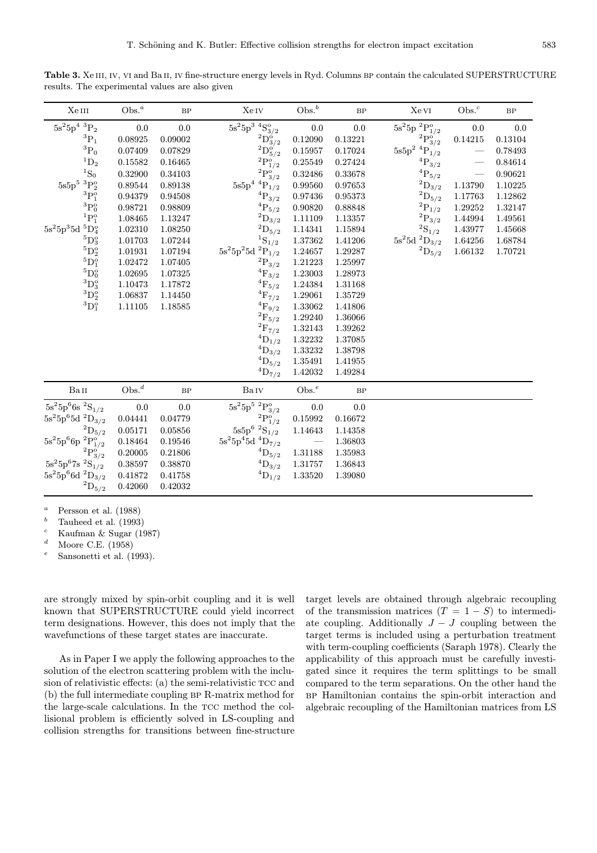Table 3. Xe III, IV, VI and Ba II, IV fine-structure energy levels in Ryd. Columns BP contain the calculated SUPERSTRUCTURE results. The experimental values are also given

| XeIII                                                    | Obs. <sup>a</sup> | $\rm BP$ | Xe Iv                             | $Obs.^b$ | $\rm BP$  | Xe vi                                   | $Obs.^c$ | $\rm BP$ |
|----------------------------------------------------------|-------------------|----------|-----------------------------------|----------|-----------|-----------------------------------------|----------|----------|
| $5s^25p^4~^3P_2$                                         | 0.0               | 0.0      | $\overline{5s^2}5p^3~^4S^o_{3/2}$ | $0.0\,$  | $0.0\,$   | $5s^25p~^2P^o_{1/2}$                    | 0.0      | 0.0      |
| ${}^3P_1$                                                | 0.08925           | 0.09002  | $^{2}D_{3/2}^{6}$                 | 0.12090  | 0.13221   | $^2\mathrm{P}_{3/2}^{\mathrm{o}^\cdot}$ | 0.14215  | 0.13104  |
| $^3{\rm P}_0$                                            | 0.07409           | 0.07829  | $^2\mathrm{D}_{5/2}^{\mathrm{o}}$ | 0.15957  | 0.17024   | $5s5p^2~^4P_{1/2}$                      |          | 0.78493  |
| ${}^1D_2$                                                | 0.15582           | 0.16465  | $^2\mathrm{P}^{\mathrm{o}}_{1/2}$ | 0.25549  | 0.27424   | $^4\mathrm{P}_{3/2}$                    |          | 0.84614  |
| ${}^1S_0$                                                | 0.32900           | 0.34103  | $^{2}P_{3/2}^{o'}$                | 0.32486  | 0.33678   | ${}^{4}P_{5/2}$                         |          | 0.90621  |
| $5\mathrm{s}5\mathrm{p}^5$ $^3\mathrm{P}_2^{\mathrm{o}}$ | 0.89544           | 0.89138  | $^4\mathrm{P}_{1/2}$<br>$5s5p^4$  | 0.99560  | 0.97653   | $^2\mathrm{D}_{3/2}$                    | 1.13790  | 1.10225  |
| ${}^{3}P_1^{\circ}$                                      | 0.94379           | 0.94508  | $^4\mathrm{P}_{3/2}$              | 0.97436  | 0.95373   | $^2\mathrm{D}_{5/2}$                    | 1.17763  | 1.12862  |
| $^3{\rm P}^{\rm o}_0$                                    | 0.98721           | 0.98809  | ${}^{4}P_{5/2}$                   | 0.90820  | 0.88848   | $^2\mathrm{P}_{1/2}$                    | 1.29252  | 1.32147  |
| ${}^{1}P_{1}^{o}$                                        | 1.08465           | 1.13247  | $^2\mathrm{D}_{3/2}$              | 1.11109  | 1.13357   | $^2\mathrm{P}_{3/2}$                    | 1.44994  | 1.49561  |
| $5s^25p^35d~^5D_4^o$                                     | 1.02310           | 1.08250  | $^2\mathrm{D}_{5/2}$              | 1.14341  | 1.15894   | $^2\mathrm{S}_{1/2}$                    | 1.43977  | 1.45668  |
| ${}^5\mathrm{D}_3^\mathrm{o}$                            | 1.01703           | 1.07244  | ${}^{1}S_{1/2}$                   | 1.37362  | 1.41206   | $5s^25d~^2D_{3/2}$                      | 1.64256  | 1.68784  |
| $^5\mathrm{D}_2^{\mathrm{o}}$                            | 1.01931           | 1.07194  | $\mathrm{5s^25p^25d~^2P_{1/2}}$   | 1.24657  | 1.29287   | $^2\mathrm{D}_{5/2}$                    | 1.66132  | 1.70721  |
| ${}^{5}\mathrm{D}_1^{\overline{9}}$                      | 1.02472           | 1.07405  | $^2\mathrm{P}_{3/2}$              | 1.21223  | 1.25997   |                                         |          |          |
| ${}^5\mathrm{D}_0^{\mathrm{o}}$                          | 1.02695           | 1.07325  | $^{4}F_{3/2}$                     | 1.23003  | 1.28973   |                                         |          |          |
| ${}^3D_3^o$                                              | 1.10473           | 1.17872  | ${}^{4}F_{5/2}$                   | 1.24384  | 1.31168   |                                         |          |          |
| ${}^3D_2^{\circ}$                                        | 1.06837           | 1.14450  | $^4\mathrm{F}_{7/2}$              | 1.29061  | 1.35729   |                                         |          |          |
| ${}^3D_1^o$                                              | 1.11105           | 1.18585  | ${}^{4}F_{9/2}$                   | 1.33062  | 1.41806   |                                         |          |          |
|                                                          |                   |          | $^2\mathrm{F}_{5/2}$              | 1.29240  | 1.36066   |                                         |          |          |
|                                                          |                   |          | $^2\mathrm{F}_{7/2}$              | 1.32143  | 1.39262   |                                         |          |          |
|                                                          |                   |          | $^4\mathrm{D}_{1/2}$              | 1.32232  | 1.37085   |                                         |          |          |
|                                                          |                   |          | $^4\mathrm{D}_{3/2}$              | 1.33232  | 1.38798   |                                         |          |          |
|                                                          |                   |          | $^4\mathrm{D}_{5/2}$              | 1.35491  | 1.41955   |                                         |          |          |
|                                                          |                   |          | ${}^4D_{7/2}$                     | 1.42032  | 1.49284   |                                         |          |          |
| BaII                                                     | Obs. <sup>d</sup> | BP       | BaIV                              | $Obs.^e$ | <b>BP</b> |                                         |          |          |
| $5s^25p^66s~^2S_{1/2}$                                   | 0.0               | $0.0\,$  | $\overline{5s}^25p^5~^2P^o_{3/2}$ | 0.0      | 0.0       |                                         |          |          |
| $5s^25p^65d~^2D_{3/2}$                                   | 0.04441           | 0.04779  | $^2\mathrm{P}_{1/2}^{\mathrm{o}}$ | 0.15992  | 0.16672   |                                         |          |          |
| $^2\mathrm{D}_{5/2}$                                     | 0.05171           | 0.05856  | $5s5p^6~^2S_1/2$                  | 1.14643  | 1.14358   |                                         |          |          |
| $5s^25p^66p~^2P^o_{1/2}$                                 | 0.18464           | 0.19546  | $5s^25p^45d~^4D_{7/2}$            |          | 1.36803   |                                         |          |          |
| $^{2}P_{3/2}^{o'}$                                       | 0.20005           | 0.21806  | ${}^4\mathrm{D}_{5/2}$            | 1.31188  | 1.35983   |                                         |          |          |
| $5s^25p^67s$ $2S_{1/2}$                                  | 0.38597           | 0.38870  | ${}^4D_{3/2}$                     | 1.31757  | 1.36843   |                                         |          |          |
| $5s^25p^66d~^2D_{3/2}$                                   | 0.41872           | 0.41758  | $^4\mathrm{D}_{1/2}$              | 1.33520  | 1.39080   |                                         |          |          |
| $^2\mathrm{D}_{5/2}$                                     | 0.42060           | 0.42032  |                                   |          |           |                                         |          |          |

<sup>a</sup> Persson et al. (1988)

<sup>b</sup> Tauheed et al. (1993)

<sup>c</sup> Kaufman & Sugar (1987)

 $\frac{d}{e}$  Moore C.E. (1958)

Sansonetti et al. (1993).

are strongly mixed by spin-orbit coupling and it is well known that SUPERSTRUCTURE could yield incorrect term designations. However, this does not imply that the wavefunctions of these target states are inaccurate.

As in Paper I we apply the following approaches to the solution of the electron scattering problem with the inclusion of relativistic effects:  $(a)$  the semi-relativistic TCC and (b) the full intermediate coupling bp R-matrix method for the large-scale calculations. In the TCC method the collisional problem is efficiently solved in LS-coupling and collision strengths for transitions between fine-structure

target levels are obtained through algebraic recoupling of the transmission matrices  $(T = 1 - S)$  to intermediate coupling. Additionally  $J - J$  coupling between the target terms is included using a perturbation treatment with term-coupling coefficients (Saraph 1978). Clearly the applicability of this approach must be carefully investigated since it requires the term splittings to be small compared to the term separations. On the other hand the bp Hamiltonian contains the spin-orbit interaction and algebraic recoupling of the Hamiltonian matrices from LS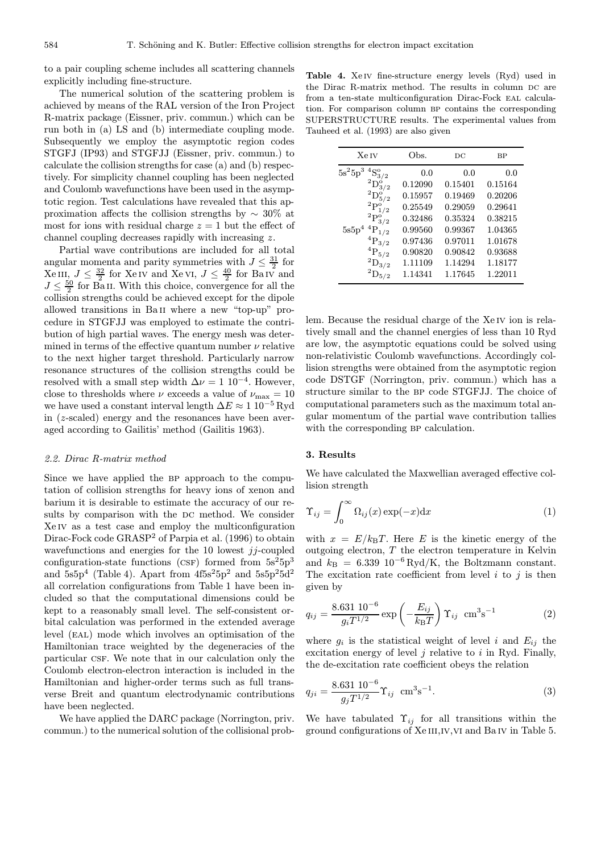to a pair coupling scheme includes all scattering channels explicitly including fine-structure.

The numerical solution of the scattering problem is achieved by means of the RAL version of the Iron Project R-matrix package (Eissner, priv. commun.) which can be run both in (a) LS and (b) intermediate coupling mode. Subsequently we employ the asymptotic region codes STGFJ (IP93) and STGFJJ (Eissner, priv. commun.) to calculate the collision strengths for case (a) and (b) respectively. For simplicity channel coupling has been neglected and Coulomb wavefunctions have been used in the asymptotic region. Test calculations have revealed that this approximation affects the collision strengths by ∼ 30% at most for ions with residual charge  $z = 1$  but the effect of channel coupling decreases rapidly with increasing z.

Partial wave contributions are included for all total angular momenta and parity symmetries with  $J \leq \frac{31}{2}$  for  $Xe III, J \leq \frac{32}{2}$  for  $Xe IV$  and  $Xe VI, J \leq \frac{40}{2}$  for  $Ba IV$  and  $J \leq \frac{50}{2}$  for Ba<sub>II</sub>. With this choice, convergence for all the collision strengths could be achieved except for the dipole allowed transitions in Ba ii where a new "top-up" procedure in STGFJJ was employed to estimate the contribution of high partial waves. The energy mesh was determined in terms of the effective quantum number  $\nu$  relative to the next higher target threshold. Particularly narrow resonance structures of the collision strengths could be resolved with a small step width  $\Delta \nu = 1 \ 10^{-4}$ . However, close to thresholds where  $\nu$  exceeds a value of  $\nu_{\text{max}} = 10$ we have used a constant interval length  $\Delta E \approx 1 \, 10^{-5}$  Ryd in (z-scaled) energy and the resonances have been averaged according to Gailitis' method (Gailitis 1963).

#### 2.2. Dirac R-matrix method

Since we have applied the BP approach to the computation of collision strengths for heavy ions of xenon and barium it is desirable to estimate the accuracy of our results by comparison with the DC method. We consider Xe iv as a test case and employ the multiconfiguration Dirac-Fock code GRASP<sup>2</sup> of Parpia et al. (1996) to obtain wavefunctions and energies for the 10 lowest jj-coupled configuration-state functions (CSF) formed from  $5s^25p^3$ and  $5s5p^4$  (Table 4). Apart from  $4f5s^25p^2$  and  $5s5p^25d^2$ all correlation configurations from Table 1 have been included so that the computational dimensions could be kept to a reasonably small level. The self-consistent orbital calculation was performed in the extended average level (eal) mode which involves an optimisation of the Hamiltonian trace weighted by the degeneracies of the particular csf. We note that in our calculation only the Coulomb electron-electron interaction is included in the Hamiltonian and higher-order terms such as full transverse Breit and quantum electrodynamic contributions have been neglected.

We have applied the DARC package (Norrington, priv. commun.) to the numerical solution of the collisional prob-

Table 4. Xe iv fine-structure energy levels (Ryd) used in the Dirac R-matrix method. The results in column DC are from a ten-state multiconfiguration Dirac-Fock eal calculation. For comparison column BP contains the corresponding SUPERSTRUCTURE results. The experimental values from Tauheed et al. (1993) are also given

| <b>Xe</b> IV                      | Obs.    | DС      | ВP      |  |
|-----------------------------------|---------|---------|---------|--|
| $5s^25p^3$<br>${}^{4}S_{3/2}^{o}$ | 0.0     | 0.0     | 0.0     |  |
| $^{2}D_{3/2}^{o}$                 | 0.12090 | 0.15401 | 0.15164 |  |
| $^{2}D^{o}_{5/2}$                 | 0.15957 | 0.19469 | 0.20206 |  |
| $^2\mathrm{P}_{1/2}^{\mathrm{o}}$ | 0.25549 | 0.29059 | 0.29641 |  |
| $^2\mathrm{P}_{3/2}^{\mathrm{o}}$ | 0.32486 | 0.35324 | 0.38215 |  |
| ${}^{4}P_{1/2}$<br>5s5p           | 0.99560 | 0.99367 | 1.04365 |  |
| ${}^{4}P_{3/2}$                   | 0.97436 | 0.97011 | 1.01678 |  |
| ${}^{4}P_{5/2}$                   | 0.90820 | 0.90842 | 0.93688 |  |
| $^{2}D_{3/2}$                     | 1.11109 | 1.14294 | 1.18177 |  |
| $^{2}D_{5/2}$                     | 1.14341 | 1.17645 | 1.22011 |  |
|                                   |         |         |         |  |

lem. Because the residual charge of the Xe IV ion is relatively small and the channel energies of less than 10 Ryd are low, the asymptotic equations could be solved using non-relativistic Coulomb wavefunctions. Accordingly collision strengths were obtained from the asymptotic region code DSTGF (Norrington, priv. commun.) which has a structure similar to the bp code STGFJJ. The choice of computational parameters such as the maximum total angular momentum of the partial wave contribution tallies with the corresponding BP calculation.

### 3. Results

We have calculated the Maxwellian averaged effective collision strength

$$
\Upsilon_{ij} = \int_0^\infty \Omega_{ij}(x) \exp(-x) \mathrm{d}x \tag{1}
$$

with  $x = E/k_BT$ . Here E is the kinetic energy of the outgoing electron,  $T$  the electron temperature in Kelvin and  $k_{\text{B}} = 6.339 \, 10^{-6} \, \text{Ryd/K}$ , the Boltzmann constant. The excitation rate coefficient from level  $i$  to  $j$  is then given by

$$
q_{ij} = \frac{8.631 \, 10^{-6}}{g_i T^{1/2}} \exp\left(-\frac{E_{ij}}{k_B T}\right) \Upsilon_{ij} \, \text{ cm}^3 \text{s}^{-1} \tag{2}
$$

where  $g_i$  is the statistical weight of level i and  $E_{ij}$  the excitation energy of level  $j$  relative to  $i$  in Ryd. Finally, the de-excitation rate coefficient obeys the relation

$$
q_{ji} = \frac{8.631 \, 10^{-6}}{g_j T^{1/2}} \Upsilon_{ij} \, \text{ cm}^3 \text{s}^{-1}.
$$
 (3)

We have tabulated  $\Upsilon_{ij}$  for all transitions within the ground configurations of Xe III, IV, VI and Ba IV in Table 5.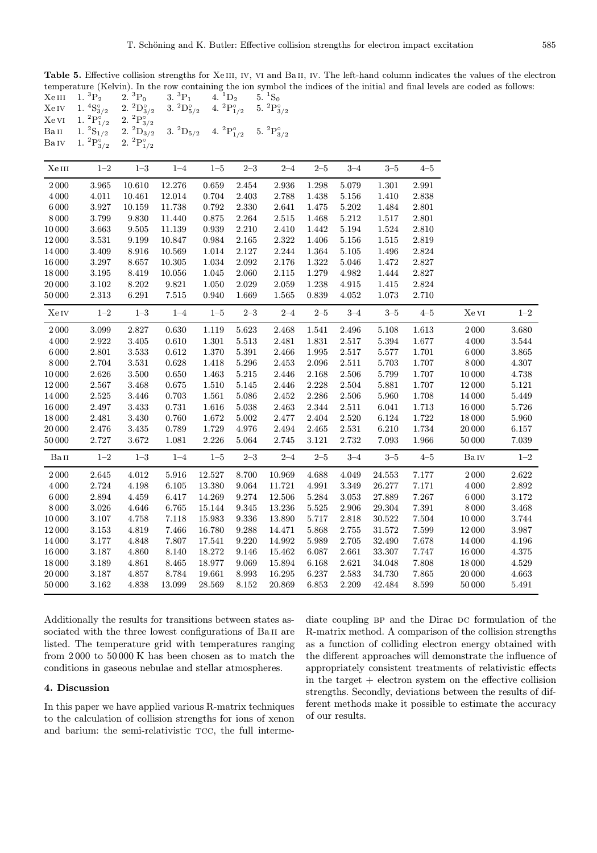Table 5. Effective collision strengths for XeIII, IV, VI and BaII, IV. The left-hand column indicates the values of the electron temperature (Kelvin). In the row containing the ion symbol the indices of the initial and final levels are coded as follows:<br>
XeIII  $1.\,{}^{3}P_{2}$   $2.\,{}^{3}P_{0}$   $3.\,{}^{3}P_{1}$   $4.\,{}^{1}D_{2}$   $5.\,{}^{1}S_{0}$  $Xe III$  1.  ${}^{3}P_{2}$  2.  ${}^{3}P_{0}$  3.  ${}^{3}P_{1}$  4.  ${}^{1}D_{2}$  5.  ${}^{1}S_{0}$ 

| Xe Iv    | 1. ${}^4S_{3/2}$           | $2.~^2\mathrm{D}_{3/2}^{\circ}$ | 3. ${}^2D_{5/2}^{\circ}$ | 4. ${}^{2}P^{\circ}_{1/2}$ |           | 5. ${}^{2}P^{\circ}_{3/2}$ |           |           |               |           |          |         |
|----------|----------------------------|---------------------------------|--------------------------|----------------------------|-----------|----------------------------|-----------|-----------|---------------|-----------|----------|---------|
| Xe vi    | 1. ${}^{2}P_{1/2}^{\circ}$ | 2. $^2\mathrm{P}_{3/2}^\circ$   |                          |                            |           |                            |           |           |               |           |          |         |
| Ba 11    | 1. ${}^2S_{1/2}$           | 2. ${}^{2}D_{3/2}$              | 3. ${}^2D_{5/2}$         | 4. ${}^{2}P^{\circ}_{1/2}$ |           | 5. ${}^{2}P^{\circ}_{3/2}$ |           |           |               |           |          |         |
| Ba ıv    | 1. ${}^{2}P_{3/2}^{\circ}$ | 2. ${}^{2}P^{\circ}_{1/2}$      |                          |                            |           |                            |           |           |               |           |          |         |
|          |                            |                                 |                          |                            |           |                            |           |           |               |           |          |         |
| Xe III   | $1 - 2$                    | $1\hbox{--}3$                   | $1 - 4$                  | $1 - 5$                    | $2 - 3$   | $2 - 4$                    | $2 - 5$   | $3 - 4$   | $3 - 5$       | $4 - 5$   |          |         |
| 2000     | 3.965                      | 10.610                          | 12.276                   | 0.659                      | 2.454     | 2.936                      | 1.298     | 5.079     | 1.301         | 2.991     |          |         |
| 4 0 0 0  | 4.011                      | 10.461                          | 12.014                   | 0.704                      | 2.403     | 2.788                      | 1.438     | 5.156     | 1.410         | 2.838     |          |         |
| $6\,000$ | 3.927                      | 10.159                          | 11.738                   | 0.792                      | 2.330     | 2.641                      | 1.475     | $5.202\,$ | 1.484         | 2.801     |          |         |
| 8000     | 3.799                      | 9.830                           | 11.440                   | 0.875                      | $2.264\,$ | $2.515\,$                  | 1.468     | $5.212\,$ | 1.517         | $2.801\,$ |          |         |
| 10 000   | 3.663                      | 9.505                           | 11.139                   | 0.939                      | $2.210\,$ | 2.410                      | 1.442     | 5.194     | 1.524         | 2.810     |          |         |
| 12000    | 3.531                      | 9.199                           | 10.847                   | 0.984                      | 2.165     | 2.322                      | 1.406     | 5.156     | 1.515         | 2.819     |          |         |
| 14 000   | 3.409                      | 8.916                           | 10.569                   | $1.014\,$                  | 2.127     | 2.244                      | 1.364     | 5.105     | 1.496         | 2.824     |          |         |
| 16 000   | $3.297\,$                  | 8.657                           | 10.305                   | 1.034                      | 2.092     | $2.176\,$                  | 1.322     | $5.046\,$ | 1.472         | 2.827     |          |         |
| 18000    | $3.195\,$                  | 8.419                           | 10.056                   | 1.045                      | 2.060     | 2.115                      | 1.279     | 4.982     | 1.444         | 2.827     |          |         |
| 20 000   | 3.102                      | 8.202                           | 9.821                    | 1.050                      | 2.029     | $2.059\,$                  | 1.238     | 4.915     | 1.415         | 2.824     |          |         |
| 50000    | $2.313\,$                  | 6.291                           | 7.515                    | 0.940                      | 1.669     | 1.565                      | 0.839     | 4.052     | 1.073         | 2.710     |          |         |
| Xe Iv    | $1 - 2$                    | $1\hbox{--}3$                   | $1 - 4$                  | $1 - 5$                    | $2 - 3$   | $2 - 4$                    | $2 - 5$   | $3 - 4$   | $3 - 5$       | $4 - 5$   | Xe vi    | $1 - 2$ |
| 2000     | 3.099                      | 2.827                           | 0.630                    | 1.119                      | 5.623     | 2.468                      | 1.541     | 2.496     | 5.108         | 1.613     | 2000     | 3.680   |
| 4 0 0 0  | $2.922\,$                  | 3.405                           | 0.610                    | 1.301                      | 5.513     | 2.481                      | 1.831     | 2.517     | 5.394         | 1.677     | 4 0 0 0  | 3.544   |
| $6\,000$ | 2.801                      | $3.533\,$                       | 0.612                    | 1.370                      | 5.391     | 2.466                      | 1.995     | 2.517     | $5.577\,$     | $1.701\,$ | $6\,000$ | 3.865   |
| 8000     | 2.704                      | 3.531                           | 0.628                    | 1.418                      | 5.296     | $2.453\,$                  | 2.096     | $2.511\,$ | 5.703         | 1.707     | 8000     | 4.307   |
| 10 000   | $2.626\,$                  | $3.500\,$                       | 0.650                    | 1.463                      | 5.215     | 2.446                      | 2.168     | $2.506\,$ | 5.799         | 1.707     | 10 000   | 4.738   |
| 12000    | 2.567                      | 3.468                           | 0.675                    | 1.510                      | 5.145     | 2.446                      | 2.228     | 2.504     | 5.881         | 1.707     | 12000    | 5.121   |
| 14 000   | $2.525\,$                  | 3.446                           | 0.703                    | 1.561                      | 5.086     | 2.452                      | 2.286     | 2.506     | 5.960         | 1.708     | 14 000   | 5.449   |
| 16 000   | 2.497                      | $3.433\,$                       | 0.731                    | 1.616                      | 5.038     | $2.463\,$                  | 2.344     | $2.511\,$ | 6.041         | $1.713\,$ | 16 000   | 5.726   |
| 18 000   | 2.481                      | $3.430\,$                       | 0.760                    | 1.672                      | 5.002     | 2.477                      | 2.404     | 2.520     | 6.124         | 1.722     | 18000    | 5.960   |
| 20 000   | 2.476                      | $3.435\,$                       | 0.789                    | $1.729\,$                  | 4.976     | 2.494                      | 2.465     | 2.531     | 6.210         | 1.734     | 20 000   | 6.157   |
| 50000    | 2.727                      | $3.672\,$                       | 1.081                    | 2.226                      | 5.064     | 2.745                      | 3.121     | 2.732     | 7.093         | 1.966     | 50 000   | 7.039   |
| BaII     | $1 - 2$                    | $1\hbox{--}3$                   | $1 - 4$                  | $1 - 5$                    | $2 - 3$   | $2 - 4$                    | $2 - 5$   | $3 - 4$   | $3\hbox{--}5$ | $4 - 5$   | Ba Iv    | $1 - 2$ |
| 2000     | 2.645                      | 4.012                           | 5.916                    | 12.527                     | 8.700     | 10.969                     | 4.688     | 4.049     | 24.553        | 7.177     | 2000     | 2.622   |
| $4\,000$ | 2.724                      | 4.198                           | 6.105                    | 13.380                     | 9.064     | 11.721                     | 4.991     | 3.349     | 26.277        | 7.171     | 4000     | 2.892   |
| $6\,000$ | $\phantom{-}2.894$         | 4.459                           | 6.417                    | 14.269                     | 9.274     | 12.506                     | 5.284     | 3.053     | 27.889        | 7.267     | $6\,000$ | 3.172   |
| 8000     | $3.026\,$                  | 4.646                           | 6.765                    | 15.144                     | 9.345     | 13.236                     | $5.525\,$ | 2.906     | 29.304        | 7.391     | 8000     | 3.468   |
| 10 000   | 3.107                      | 4.758                           | 7.118                    | 15.983                     | 9.336     | 13.890                     | 5.717     | 2.818     | 30.522        | 7.504     | 10 000   | 3.744   |
| 12000    | 3.153                      | 4.819                           | 7.466                    | 16.780                     | 9.288     | 14.471                     | 5.868     | 2.755     | 31.572        | 7.599     | 12000    | 3.987   |
| 14 000   | 3.177                      | 4.848                           | 7.807                    | 17.541                     | 9.220     | 14.992                     | 5.989     | 2.705     | 32.490        | 7.678     | 14 000   | 4.196   |
| 16 000   | $3.187\,$                  | 4.860                           | 8.140                    | 18.272                     | 9.146     | 15.462                     | 6.087     | 2.661     | 33.307        | 7.747     | 16 000   | 4.375   |
| 18000    | $3.189\,$                  | 4.861                           | 8.465                    | 18.977                     | 9.069     | 15.894                     | 6.168     | 2.621     | 34.048        | 7.808     | 18 000   | 4.529   |
| 20 000   | $3.187\,$                  | 4.857                           | 8.784                    | 19.661                     | 8.993     | 16.295                     | 6.237     | 2.583     | 34.730        | 7.865     | 20 000   | 4.663   |
| 50000    | 3.162                      | 4.838                           | 13.099                   | 28.569                     | 8.152     | 20.869                     | 6.853     | 2.209     | 42.484        | 8.599     | 50000    | 5.491   |

Additionally the results for transitions between states associated with the three lowest configurations of Ba<sub>II</sub> are listed. The temperature grid with temperatures ranging from 2 000 to 50 000 K has been chosen as to match the conditions in gaseous nebulae and stellar atmospheres.

# 4. Discussion

In this paper we have applied various R-matrix techniques to the calculation of collision strengths for ions of xenon and barium: the semi-relativistic TCC, the full interme-

diate coupling BP and the Dirac DC formulation of the R-matrix method. A comparison of the collision strengths as a function of colliding electron energy obtained with the different approaches will demonstrate the influence of appropriately consistent treatments of relativistic effects in the target  $+$  electron system on the effective collision strengths. Secondly, deviations between the results of different methods make it possible to estimate the accuracy of our results.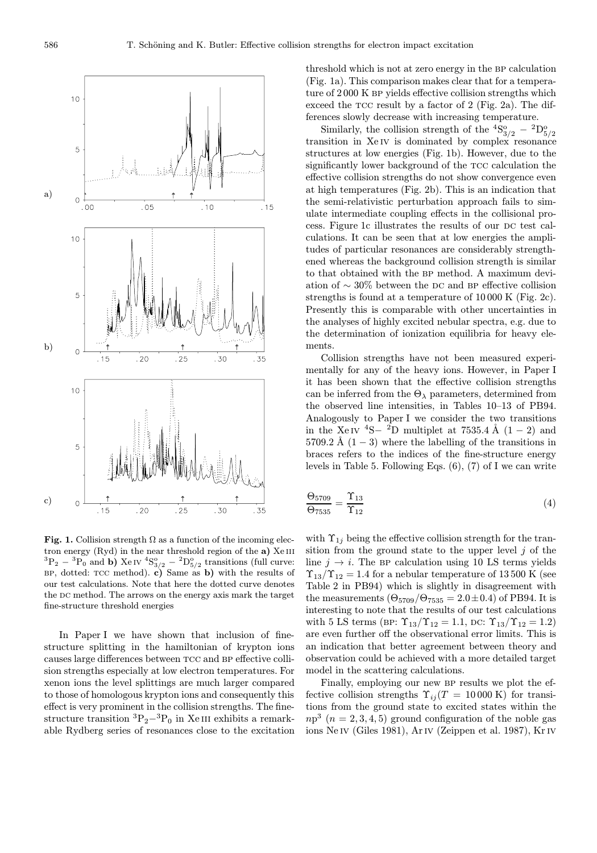

Fig. 1. Collision strength  $\Omega$  as a function of the incoming electron energy  $(Ryd)$  in the near threshold region of the a) Xe III  ${}^{3}P_{2} - {}^{3}P_{0}$  and b) Xe IV  ${}^{4}S_{3/2}^{o} - {}^{2}D_{5/2}^{o}$  transitions (full curve:  $BP$ , dotted: TCC method). c) Same as b) with the results of our test calculations. Note that here the dotted curve denotes the DC method. The arrows on the energy axis mark the target fine-structure threshold energies

In Paper I we have shown that inclusion of finestructure splitting in the hamiltonian of krypton ions causes large differences between tcc and bp effective collision strengths especially at low electron temperatures. For xenon ions the level splittings are much larger compared to those of homologous krypton ions and consequently this effect is very prominent in the collision strengths. The finestructure transition  ${}^{3}P_{2} - {}^{3}P_{0}$  in Xe III exhibits a remarkable Rydberg series of resonances close to the excitation threshold which is not at zero energy in the BP calculation (Fig. 1a). This comparison makes clear that for a temperature of 2000 K BP yields effective collision strengths which exceed the tcc result by a factor of 2 (Fig. 2a). The differences slowly decrease with increasing temperature.

Similarly, the collision strength of the  ${}^{4}S^{o}_{3/2} - {}^{2}D^{o}_{5/2}$ transition in Xe<sub>IV</sub> is dominated by complex resonance structures at low energies (Fig. 1b). However, due to the significantly lower background of the TCC calculation the effective collision strengths do not show convergence even at high temperatures (Fig. 2b). This is an indication that the semi-relativistic perturbation approach fails to simulate intermediate coupling effects in the collisional process. Figure 1c illustrates the results of our DC test calculations. It can be seen that at low energies the amplitudes of particular resonances are considerably strengthened whereas the background collision strength is similar to that obtained with the BP method. A maximum deviation of  $\sim 30\%$  between the DC and BP effective collision strengths is found at a temperature of 10 000 K (Fig. 2c). Presently this is comparable with other uncertainties in the analyses of highly excited nebular spectra, e.g. due to the determination of ionization equilibria for heavy elements.

Collision strengths have not been measured experimentally for any of the heavy ions. However, in Paper I it has been shown that the effective collision strengths can be inferred from the  $\Theta_{\lambda}$  parameters, determined from the observed line intensities, in Tables 10–13 of PB94. Analogously to Paper I we consider the two transitions in the Xe IV <sup>4</sup>S− <sup>2</sup>D multiplet at 7535.4 Å  $(1 – 2)$  and 5709.2 Å  $(1-3)$  where the labelling of the transitions in braces refers to the indices of the fine-structure energy levels in Table 5. Following Eqs. (6), (7) of I we can write

$$
\frac{\Theta_{5709}}{\Theta_{7535}} = \frac{\Upsilon_{13}}{\Upsilon_{12}}\tag{4}
$$

with  $\Upsilon_{1i}$  being the effective collision strength for the transition from the ground state to the upper level  $j$  of the line  $j \rightarrow i$ . The BP calculation using 10 LS terms yields  $\Upsilon_{13}/\Upsilon_{12} = 1.4$  for a nebular temperature of 13500 K (see Table 2 in PB94) which is slightly in disagreement with the measurements  $(\Theta_{5709}/\Theta_{7535} = 2.0 \pm 0.4)$  of PB94. It is interesting to note that the results of our test calculations with 5 LS terms (BP:  $\Upsilon_{13}/\Upsilon_{12} = 1.1$ , DC:  $\Upsilon_{13}/\Upsilon_{12} = 1.2$ ) are even further off the observational error limits. This is an indication that better agreement between theory and observation could be achieved with a more detailed target model in the scattering calculations.

Finally, employing our new BP results we plot the effective collision strengths  $\Upsilon_{ij}$  (T = 10 000 K) for transitions from the ground state to excited states within the  $np<sup>3</sup>$  ( $n = 2, 3, 4, 5$ ) ground configuration of the noble gas ions Ne IV (Giles 1981), Ar IV (Zeippen et al. 1987), Kr IV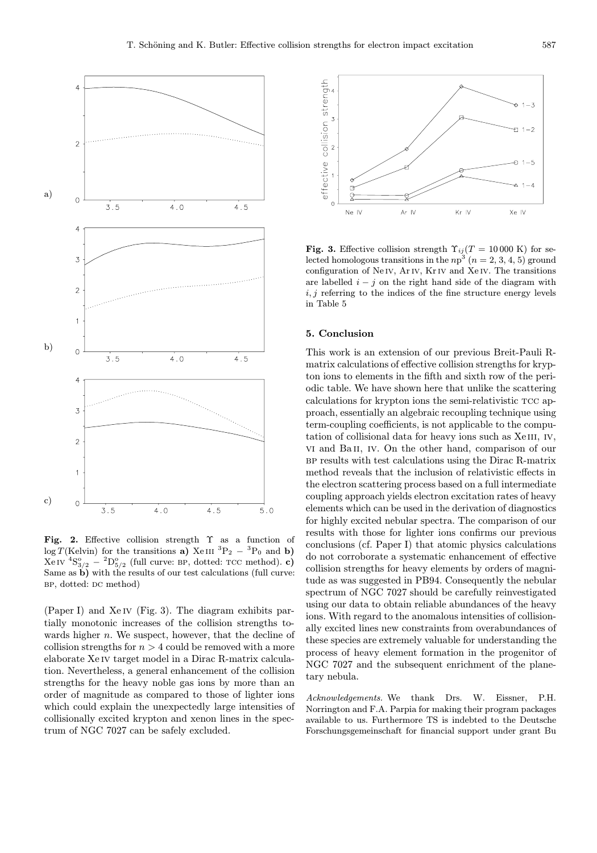

Fig. 2. Effective collision strength  $\Upsilon$  as a function of  $\log T(\text{Kelvin})$  for the transitions a) Xe III  ${}^{3}P_{2} - {}^{3}P_{0}$  and b)  $\text{Xe IV } ^4\text{S}_{3/2}^{\text{o}} - {}^2\text{D}_{5/2}^{\text{o}} \text{ (full curve: BP, dotted: TCC method). } \textbf{c)}$ Same as b) with the results of our test calculations (full curve: BP, dotted: DC method)

(Paper I) and Xe iv (Fig. 3). The diagram exhibits partially monotonic increases of the collision strengths towards higher  $n$ . We suspect, however, that the decline of collision strengths for  $n > 4$  could be removed with a more elaborate Xe iv target model in a Dirac R-matrix calculation. Nevertheless, a general enhancement of the collision strengths for the heavy noble gas ions by more than an order of magnitude as compared to those of lighter ions which could explain the unexpectedly large intensities of collisionally excited krypton and xenon lines in the spectrum of NGC 7027 can be safely excluded.



Fig. 3. Effective collision strength  $\Upsilon_{ij}(T = 10000 \text{ K})$  for selected homologous transitions in the  $np^3$   $(n = 2, 3, 4, 5)$  ground configuration of Ne iv, Ar iv, Kr iv and Xe iv. The transitions are labelled  $i - j$  on the right hand side of the diagram with  $i, j$  referring to the indices of the fine structure energy levels in Table 5

## 5. Conclusion

This work is an extension of our previous Breit-Pauli Rmatrix calculations of effective collision strengths for krypton ions to elements in the fifth and sixth row of the periodic table. We have shown here that unlike the scattering calculations for krypton ions the semi-relativistic TCC approach, essentially an algebraic recoupling technique using term-coupling coefficients, is not applicable to the computation of collisional data for heavy ions such as XeIII, IV, vi and Ba ii, iv. On the other hand, comparison of our bp results with test calculations using the Dirac R-matrix method reveals that the inclusion of relativistic effects in the electron scattering process based on a full intermediate coupling approach yields electron excitation rates of heavy elements which can be used in the derivation of diagnostics for highly excited nebular spectra. The comparison of our results with those for lighter ions confirms our previous conclusions (cf. Paper I) that atomic physics calculations do not corroborate a systematic enhancement of effective collision strengths for heavy elements by orders of magnitude as was suggested in PB94. Consequently the nebular spectrum of NGC 7027 should be carefully reinvestigated using our data to obtain reliable abundances of the heavy ions. With regard to the anomalous intensities of collisionally excited lines new constraints from overabundances of these species are extremely valuable for understanding the process of heavy element formation in the progenitor of NGC 7027 and the subsequent enrichment of the planetary nebula.

Acknowledgements. We thank Drs. W. Eissner, P.H. Norrington and F.A. Parpia for making their program packages available to us. Furthermore TS is indebted to the Deutsche Forschungsgemeinschaft for financial support under grant Bu